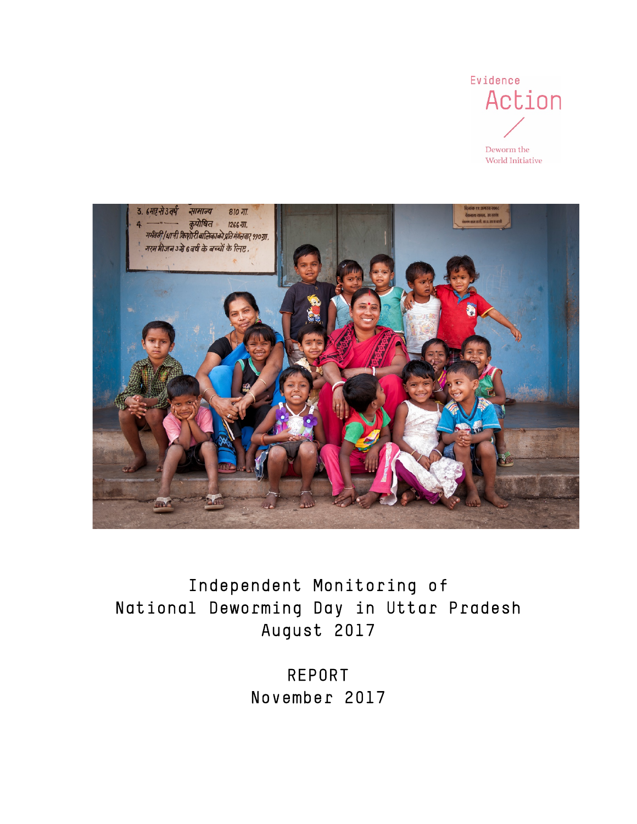



Independent Monitoring of National Deworming Day in Uttar Pradesh August 2017

> REPORT November 2017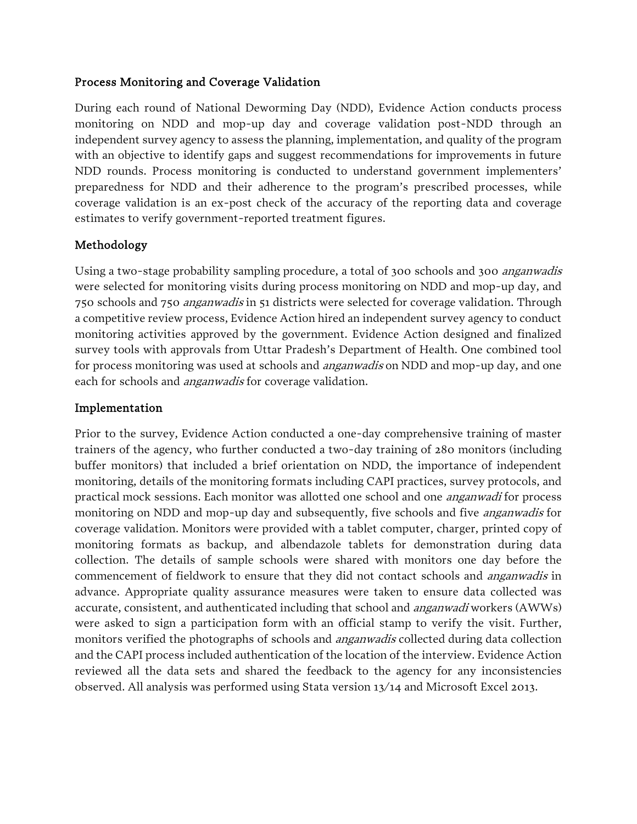#### Process Monitoring and Coverage Validation

During each round of National Deworming Day (NDD), Evidence Action conducts process monitoring on NDD and mop-up day and coverage validation post-NDD through an independent survey agency to assess the planning, implementation, and quality of the program with an objective to identify gaps and suggest recommendations for improvements in future NDD rounds. Process monitoring is conducted to understand government implementers' preparedness for NDD and their adherence to the program's prescribed processes, while coverage validation is an ex-post check of the accuracy of the reporting data and coverage estimates to verify government-reported treatment figures.

## Methodology

Using a two-stage probability sampling procedure, a total of 300 schools and 300 *anganwadis* were selected for monitoring visits during process monitoring on NDD and mop-up day, and 750 schools and 750 *anganwadis* in 51 districts were selected for coverage validation. Through a competitive review process, Evidence Action hired an independent survey agency to conduct monitoring activities approved by the government. Evidence Action designed and finalized survey tools with approvals from Uttar Pradesh's Department of Health. One combined tool for process monitoring was used at schools and *anganwadis* on NDD and mop-up day, and one each for schools and *anganwadis* for coverage validation.

#### Implementation

Prior to the survey, Evidence Action conducted a one-day comprehensive training of master trainers of the agency, who further conducted a two-day training of 280 monitors (including buffer monitors) that included a brief orientation on NDD, the importance of independent monitoring, details of the monitoring formats including CAPI practices, survey protocols, and practical mock sessions. Each monitor was allotted one school and one anganwadi for process monitoring on NDD and mop-up day and subsequently, five schools and five *anganwadis* for coverage validation. Monitors were provided with a tablet computer, charger, printed copy of monitoring formats as backup, and albendazole tablets for demonstration during data collection. The details of sample schools were shared with monitors one day before the commencement of fieldwork to ensure that they did not contact schools and *anganwadis* in advance. Appropriate quality assurance measures were taken to ensure data collected was accurate, consistent, and authenticated including that school and anganwadi workers (AWWs) were asked to sign a participation form with an official stamp to verify the visit. Further, monitors verified the photographs of schools and *anganwadis* collected during data collection and the CAPI process included authentication of the location of the interview. Evidence Action reviewed all the data sets and shared the feedback to the agency for any inconsistencies observed. All analysis was performed using Stata version 13/14 and Microsoft Excel 2013.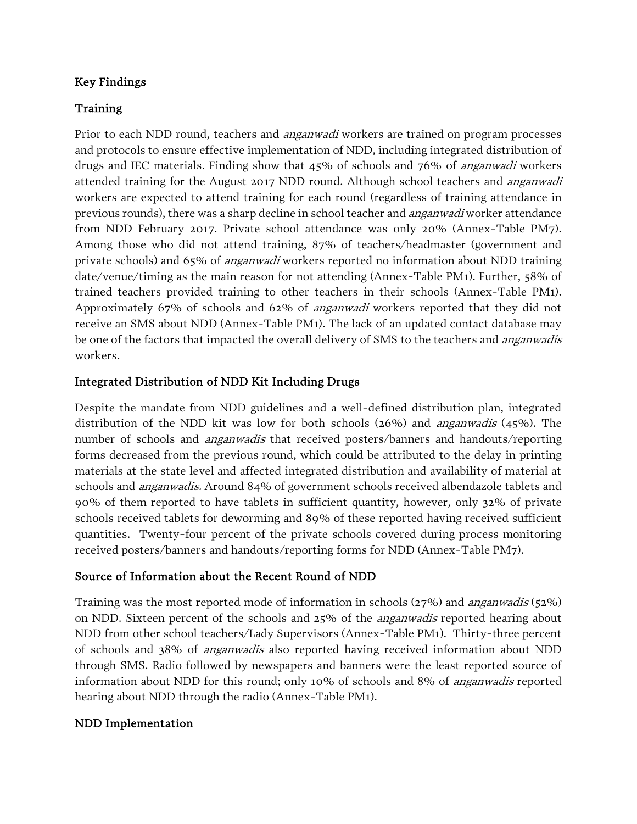# Key Findings

# Training

Prior to each NDD round, teachers and *anganwadi* workers are trained on program processes and protocols to ensure effective implementation of NDD, including integrated distribution of drugs and IEC materials. Finding show that 45% of schools and 76% of *anganwadi* workers attended training for the August 2017 NDD round. Although school teachers and *anganwadi* workers are expected to attend training for each round (regardless of training attendance in previous rounds), there was a sharp decline in school teacher and anganwadi worker attendance from NDD February 2017. Private school attendance was only 20% (Annex-Table PM7). Among those who did not attend training, 87% of teachers/headmaster (government and private schools) and 65% of anganwadi workers reported no information about NDD training date/venue/timing as the main reason for not attending (Annex-Table PM1). Further, 58% of trained teachers provided training to other teachers in their schools (Annex-Table PM1). Approximately 67% of schools and 62% of anganwadi workers reported that they did not receive an SMS about NDD (Annex-Table PM1). The lack of an updated contact database may be one of the factors that impacted the overall delivery of SMS to the teachers and *anganwadis* workers.

# Integrated Distribution of NDD Kit Including Drugs

Despite the mandate from NDD guidelines and a well-defined distribution plan, integrated distribution of the NDD kit was low for both schools (26%) and anganwadis (45%). The number of schools and *anganwadis* that received posters/banners and handouts/reporting forms decreased from the previous round, which could be attributed to the delay in printing materials at the state level and affected integrated distribution and availability of material at schools and *anganwadis*. Around 84% of government schools received albendazole tablets and 90% of them reported to have tablets in sufficient quantity, however, only 32% of private schools received tablets for deworming and 89% of these reported having received sufficient quantities. Twenty-four percent of the private schools covered during process monitoring received posters/banners and handouts/reporting forms for NDD (Annex-Table PM7).

## Source of Information about the Recent Round of NDD

Training was the most reported mode of information in schools (27%) and anganwadis (52%) on NDD. Sixteen percent of the schools and 25% of the anganwadis reported hearing about NDD from other school teachers/Lady Supervisors (Annex-Table PM1). Thirty-three percent of schools and 38% of anganwadis also reported having received information about NDD through SMS. Radio followed by newspapers and banners were the least reported source of information about NDD for this round; only 10% of schools and 8% of anganwadis reported hearing about NDD through the radio (Annex-Table PM1).

# NDD Implementation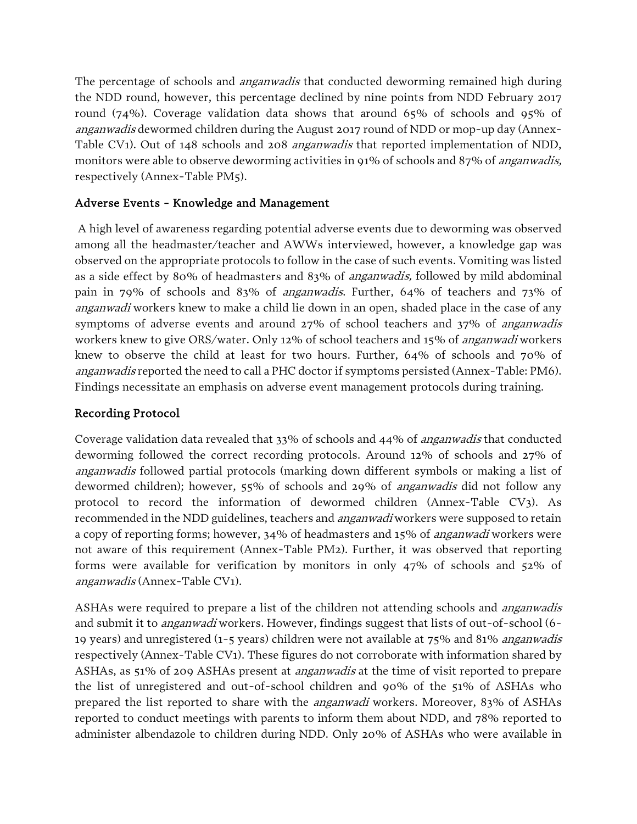The percentage of schools and *anganwadis* that conducted deworming remained high during the NDD round, however, this percentage declined by nine points from NDD February 2017 round (74%). Coverage validation data shows that around 65% of schools and 95% of anganwadis dewormed children during the August 2017 round of NDD or mop-up day (Annex-Table CV1). Out of 148 schools and 208 *anganwadis* that reported implementation of NDD, monitors were able to observe deworming activities in 91% of schools and 87% of *anganwadis*, respectively (Annex-Table PM5).

## Adverse Events - Knowledge and Management

A high level of awareness regarding potential adverse events due to deworming was observed among all the headmaster/teacher and AWWs interviewed, however, a knowledge gap was observed on the appropriate protocols to follow in the case of such events. Vomiting was listed as a side effect by 80% of headmasters and 83% of anganwadis, followed by mild abdominal pain in 79% of schools and 83% of anganwadis. Further, 64% of teachers and 73% of anganwadi workers knew to make a child lie down in an open, shaded place in the case of any symptoms of adverse events and around 27% of school teachers and 37% of anganwadis workers knew to give ORS/water. Only 12% of school teachers and 15% of *anganwadi* workers knew to observe the child at least for two hours. Further, 64% of schools and 70% of anganwadis reported the need to call a PHC doctor if symptoms persisted (Annex-Table: PM6). Findings necessitate an emphasis on adverse event management protocols during training.

## Recording Protocol

Coverage validation data revealed that 33% of schools and 44% of anganwadis that conducted deworming followed the correct recording protocols. Around 12% of schools and 27% of anganwadis followed partial protocols (marking down different symbols or making a list of dewormed children); however, 55% of schools and 29% of anganwadis did not follow any protocol to record the information of dewormed children (Annex-Table CV3). As recommended in the NDD guidelines, teachers and *anganwadi* workers were supposed to retain a copy of reporting forms; however, 34% of headmasters and 15% of anganwadi workers were not aware of this requirement (Annex-Table PM2). Further, it was observed that reporting forms were available for verification by monitors in only 47% of schools and 52% of anganwadis (Annex-Table CV1).

ASHAs were required to prepare a list of the children not attending schools and *anganwadis* and submit it to *anganwadi* workers. However, findings suggest that lists of out-of-school (6-19 years) and unregistered (1-5 years) children were not available at 75% and 81% anganwadis respectively (Annex-Table CV1). These figures do not corroborate with information shared by ASHAs, as 51% of 209 ASHAs present at *anganwadis* at the time of visit reported to prepare the list of unregistered and out-of-school children and 90% of the 51% of ASHAs who prepared the list reported to share with the anganwadi workers. Moreover, 83% of ASHAs reported to conduct meetings with parents to inform them about NDD, and 78% reported to administer albendazole to children during NDD. Only 20% of ASHAs who were available in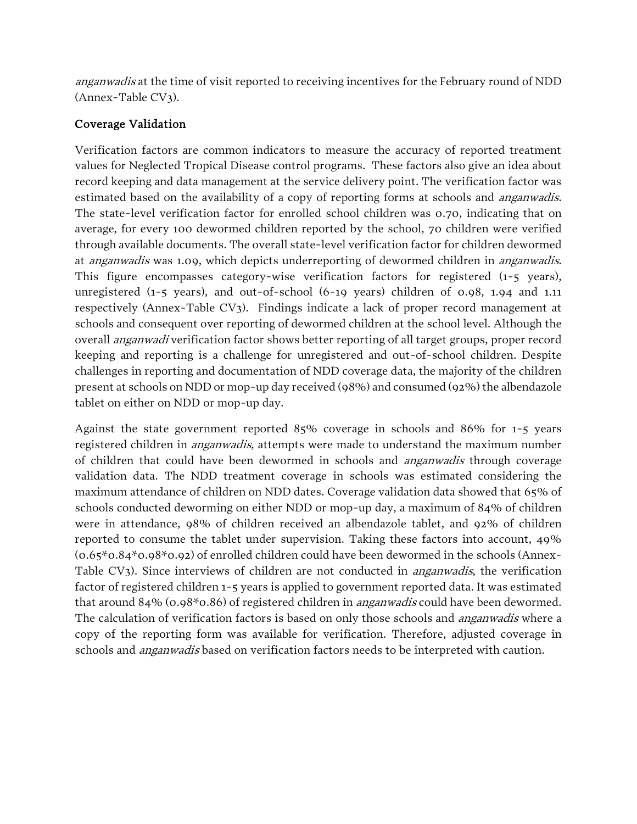anganwadis at the time of visit reported to receiving incentives for the February round of NDD (Annex-Table CV3).

# Coverage Validation

Verification factors are common indicators to measure the accuracy of reported treatment values for Neglected Tropical Disease control programs. These factors also give an idea about record keeping and data management at the service delivery point. The verification factor was estimated based on the availability of a copy of reporting forms at schools and *anganwadis*. The state-level verification factor for enrolled school children was 0.70, indicating that on average, for every 100 dewormed children reported by the school, 70 children were verified through available documents. The overall state-level verification factor for children dewormed at *anganwadis* was 1.09, which depicts underreporting of dewormed children in *anganwadis*. This figure encompasses category-wise verification factors for registered (1-5 years), unregistered (1-5 years), and out-of-school (6-19 years) children of 0.98, 1.94 and 1.11 respectively (Annex-Table CV3). Findings indicate a lack of proper record management at schools and consequent over reporting of dewormed children at the school level. Although the overall anganwadi verification factor shows better reporting of all target groups, proper record keeping and reporting is a challenge for unregistered and out-of-school children. Despite challenges in reporting and documentation of NDD coverage data, the majority of the children present at schools on NDD or mop-up day received (98%) and consumed (92%) the albendazole tablet on either on NDD or mop-up day.

Against the state government reported 85% coverage in schools and 86% for 1-5 years registered children in *anganwadis*, attempts were made to understand the maximum number of children that could have been dewormed in schools and *anganwadis* through coverage validation data. The NDD treatment coverage in schools was estimated considering the maximum attendance of children on NDD dates. Coverage validation data showed that 65% of schools conducted deworming on either NDD or mop-up day, a maximum of 84% of children were in attendance, 98% of children received an albendazole tablet, and 92% of children reported to consume the tablet under supervision. Taking these factors into account, 49% (0.65\*0.84\*0.98\*0.92) of enrolled children could have been dewormed in the schools (Annex-Table CV3). Since interviews of children are not conducted in *anganwadis*, the verification factor of registered children 1-5 years is applied to government reported data. It was estimated that around 84% (0.98\*0.86) of registered children in *anganwadis* could have been dewormed. The calculation of verification factors is based on only those schools and *anganwadis* where a copy of the reporting form was available for verification. Therefore, adjusted coverage in schools and *anganwadis* based on verification factors needs to be interpreted with caution.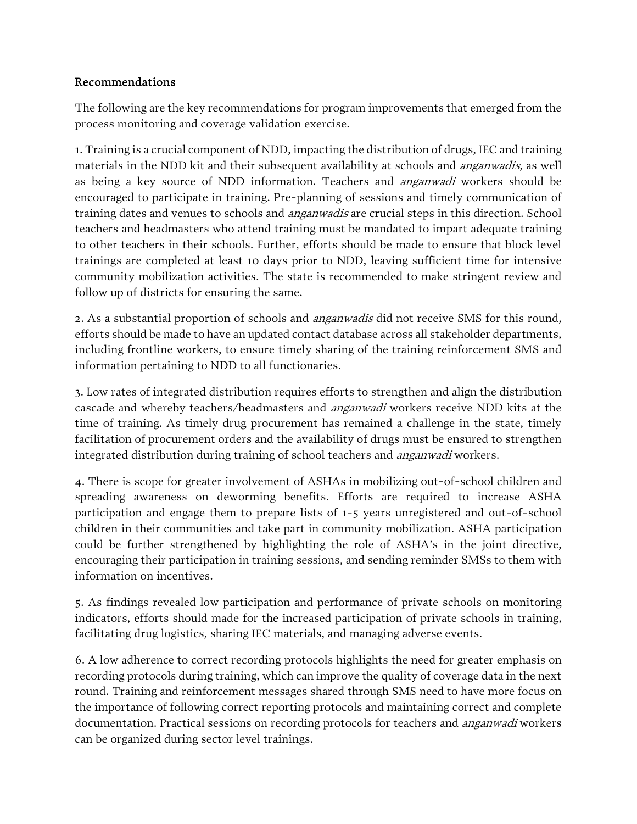## Recommendations

The following are the key recommendations for program improvements that emerged from the process monitoring and coverage validation exercise.

1. Training is a crucial component of NDD, impacting the distribution of drugs, IEC and training materials in the NDD kit and their subsequent availability at schools and *anganwadis*, as well as being a key source of NDD information. Teachers and anganwadi workers should be encouraged to participate in training. Pre-planning of sessions and timely communication of training dates and venues to schools and *anganwadis* are crucial steps in this direction. School teachers and headmasters who attend training must be mandated to impart adequate training to other teachers in their schools. Further, efforts should be made to ensure that block level trainings are completed at least 10 days prior to NDD, leaving sufficient time for intensive community mobilization activities. The state is recommended to make stringent review and follow up of districts for ensuring the same.

2. As a substantial proportion of schools and *anganwadis* did not receive SMS for this round, efforts should be made to have an updated contact database across all stakeholder departments, including frontline workers, to ensure timely sharing of the training reinforcement SMS and information pertaining to NDD to all functionaries.

3. Low rates of integrated distribution requires efforts to strengthen and align the distribution cascade and whereby teachers/headmasters and anganwadi workers receive NDD kits at the time of training. As timely drug procurement has remained a challenge in the state, timely facilitation of procurement orders and the availability of drugs must be ensured to strengthen integrated distribution during training of school teachers and *anganwadi* workers.

4. There is scope for greater involvement of ASHAs in mobilizing out-of-school children and spreading awareness on deworming benefits. Efforts are required to increase ASHA participation and engage them to prepare lists of 1-5 years unregistered and out-of-school children in their communities and take part in community mobilization. ASHA participation could be further strengthened by highlighting the role of ASHA's in the joint directive, encouraging their participation in training sessions, and sending reminder SMSs to them with information on incentives.

5. As findings revealed low participation and performance of private schools on monitoring indicators, efforts should made for the increased participation of private schools in training, facilitating drug logistics, sharing IEC materials, and managing adverse events.

6. A low adherence to correct recording protocols highlights the need for greater emphasis on recording protocols during training, which can improve the quality of coverage data in the next round. Training and reinforcement messages shared through SMS need to have more focus on the importance of following correct reporting protocols and maintaining correct and complete documentation. Practical sessions on recording protocols for teachers and *anganwadi* workers can be organized during sector level trainings.